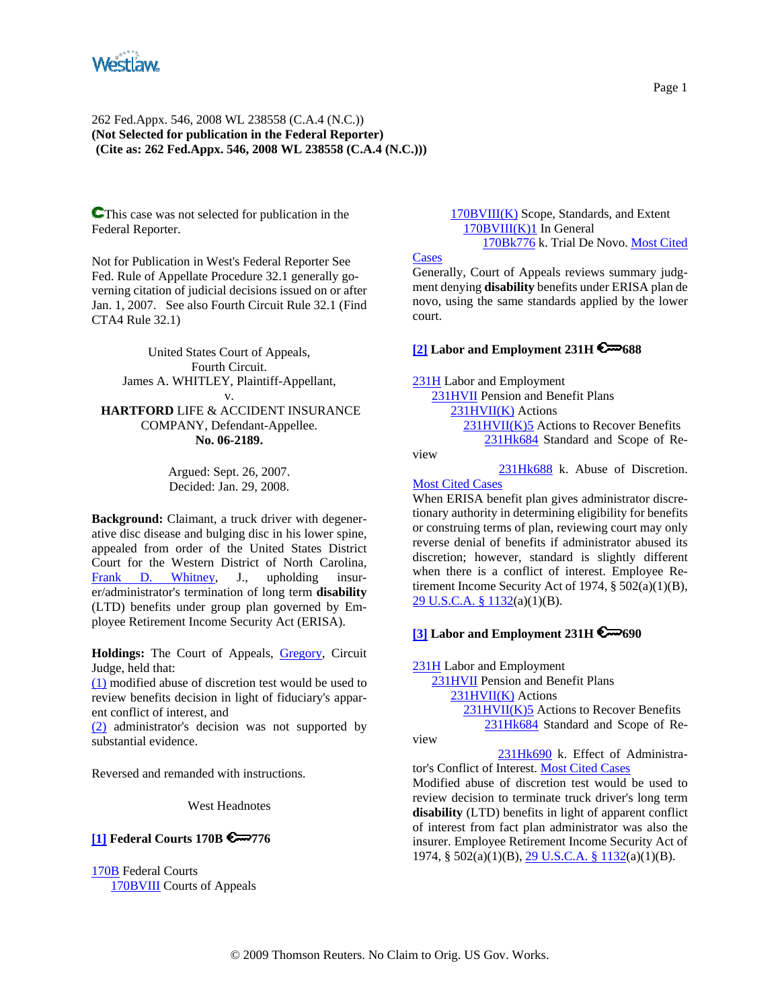

**C**This case was not selected for publication in the Federal Reporter.

Not for Publication in West's Federal Reporter See Fed. Rule of Appellate Procedure 32.1 generally governing citation of judicial decisions issued on or after Jan. 1, 2007. See also Fourth Circuit Rule 32.1 (Find CTA4 Rule 32.1)

United States Court of Appeals, Fourth Circuit. James A. WHITLEY, Plaintiff-Appellant, v. **HARTFORD** LIFE & ACCIDENT INSURANCE COMPANY, Defendant-Appellee. **No. 06-2189.**

> Argued: Sept. 26, 2007. Decided: Jan. 29, 2008.

**Background:** Claimant, a truck driver with degenerative disc disease and bulging disc in his lower spine, appealed from order of the United States District Court for the Western District of North Carolina, Frank D. Whitney, J., upholding insurer/administrator's termination of long term **disability** (LTD) benefits under group plan governed by Employee Retirement Income Security Act (ERISA).

Holdings: The Court of Appeals, Gregory, Circuit Judge, held that:

(1) modified abuse of discretion test would be used to review benefits decision in light of fiduciary's apparent conflict of interest, and

(2) administrator's decision was not supported by substantial evidence.

Reversed and remanded with instructions.

West Headnotes

### **[1] Federal Courts 170B 6 776**

170B Federal Courts 170BVIII Courts of Appeals  170BVIII(K) Scope, Standards, and Extent 170BVIII(K)1 In General 170Bk776 k. Trial De Novo. Most Cited

**Cases** 

Generally, Court of Appeals reviews summary judgment denying **disability** benefits under ERISA plan de novo, using the same standards applied by the lower court.

#### **[2] Labor and Employment 231H 6 688**

231H Labor and Employment

 231HVII Pension and Benefit Plans  $231$ HVII(K) Actions 231HVII(K)5 Actions to Recover Benefits 231Hk684 Standard and Scope of Re-

view

231Hk688 k. Abuse of Discretion.

#### Most Cited Cases

When ERISA benefit plan gives administrator discretionary authority in determining eligibility for benefits or construing terms of plan, reviewing court may only reverse denial of benefits if administrator abused its discretion; however, standard is slightly different when there is a conflict of interest. Employee Retirement Income Security Act of 1974, § 502(a)(1)(B), 29 U.S.C.A. § 1132(a)(1)(B).

# **[3] Labor and Employment 231H 6000**

231H Labor and Employment

 231HVII Pension and Benefit Plans 231HVII(K) Actions 231HVII(K)5 Actions to Recover Benefits 231Hk684 Standard and Scope of Re-

view

231Hk690 k. Effect of Administra-

tor's Conflict of Interest. Most Cited Cases Modified abuse of discretion test would be used to review decision to terminate truck driver's long term **disability** (LTD) benefits in light of apparent conflict of interest from fact plan administrator was also the insurer. Employee Retirement Income Security Act of 1974, § 502(a)(1)(B), 29 U.S.C.A. § 1132(a)(1)(B).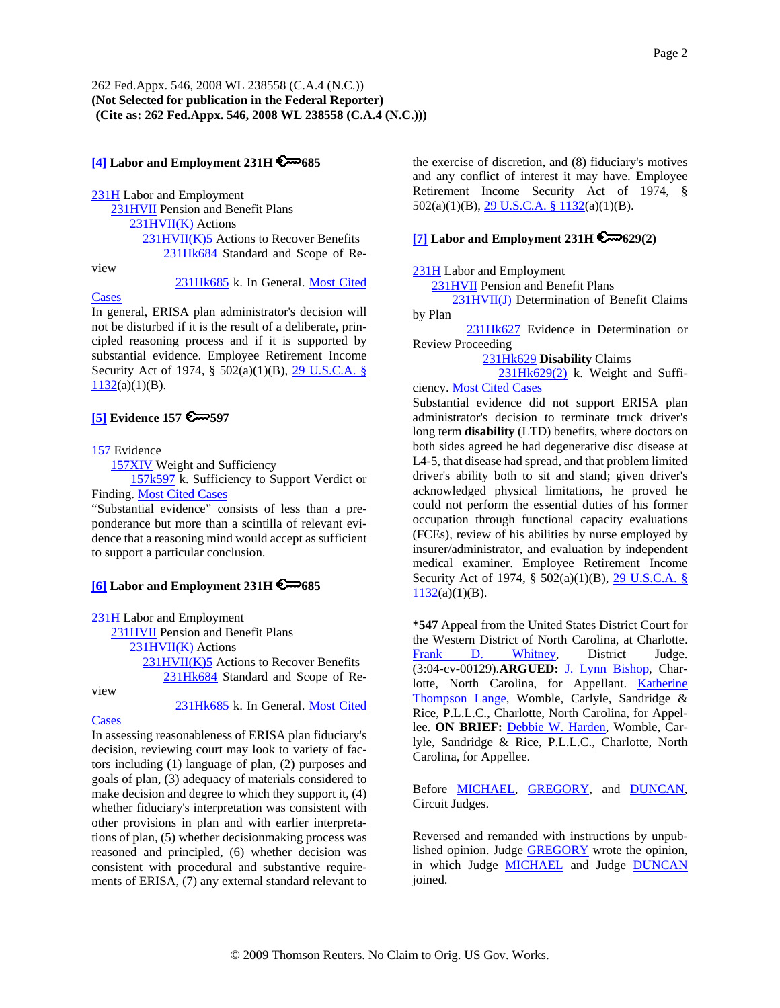### **[4] Labor and Employment 231H 6 685**

231H Labor and Employment 231HVII Pension and Benefit Plans 231HVII(K) Actions 231HVII(K)5 Actions to Recover Benefits 231Hk684 Standard and Scope of Re-

view

231Hk685 k. In General. Most Cited

**Cases** 

In general, ERISA plan administrator's decision will not be disturbed if it is the result of a deliberate, principled reasoning process and if it is supported by substantial evidence. Employee Retirement Income Security Act of 1974, § 502(a)(1)(B), 29 U.S.C.A. §  $1132(a)(1)(B)$ .

# **[5] Evidence 157 6 597**

#### 157 Evidence

157XIV Weight and Sufficiency

 157k597 k. Sufficiency to Support Verdict or Finding. Most Cited Cases

"Substantial evidence" consists of less than a preponderance but more than a scintilla of relevant evidence that a reasoning mind would accept as sufficient to support a particular conclusion.

# **[6] Labor and Employment 231H 6 685**

231H Labor and Employment

 231HVII Pension and Benefit Plans 231HVII(K) Actions

> 231HVII(K)5 Actions to Recover Benefits 231Hk684 Standard and Scope of Re-

view

231Hk685 k. In General. Most Cited

### **Cases**

In assessing reasonableness of ERISA plan fiduciary's decision, reviewing court may look to variety of factors including (1) language of plan, (2) purposes and goals of plan, (3) adequacy of materials considered to make decision and degree to which they support it, (4) whether fiduciary's interpretation was consistent with other provisions in plan and with earlier interpretations of plan, (5) whether decisionmaking process was reasoned and principled, (6) whether decision was consistent with procedural and substantive requirements of ERISA, (7) any external standard relevant to the exercise of discretion, and (8) fiduciary's motives and any conflict of interest it may have. Employee Retirement Income Security Act of 1974, § 502(a)(1)(B), 29 U.S.C.A. § 1132(a)(1)(B).

### **[7] Labor and Employment 231H 629(2)**

231H Labor and Employment

231HVII Pension and Benefit Plans

 231HVII(J) Determination of Benefit Claims by Plan

231Hk627 Evidence in Determination or Review Proceeding

231Hk629 **Disability** Claims

 231Hk629(2) k. Weight and Sufficiency. Most Cited Cases

Substantial evidence did not support ERISA plan administrator's decision to terminate truck driver's long term **disability** (LTD) benefits, where doctors on both sides agreed he had degenerative disc disease at L4-5, that disease had spread, and that problem limited driver's ability both to sit and stand; given driver's acknowledged physical limitations, he proved he could not perform the essential duties of his former occupation through functional capacity evaluations (FCEs), review of his abilities by nurse employed by insurer/administrator, and evaluation by independent medical examiner. Employee Retirement Income Security Act of 1974, § 502(a)(1)(B), 29 U.S.C.A. §  $1132(a)(1)(B)$ .

**\*547** Appeal from the United States District Court for the Western District of North Carolina, at Charlotte. Frank D. Whitney, District Judge. (3:04-cv-00129).**ARGUED:** J. Lynn Bishop, Charlotte, North Carolina, for Appellant. Katherine Thompson Lange, Womble, Carlyle, Sandridge & Rice, P.L.L.C., Charlotte, North Carolina, for Appellee. ON BRIEF: Debbie W. Harden, Womble, Carlyle, Sandridge & Rice, P.L.L.C., Charlotte, North Carolina, for Appellee.

Before MICHAEL, GREGORY, and DUNCAN, Circuit Judges.

Reversed and remanded with instructions by unpublished opinion. Judge GREGORY wrote the opinion, in which Judge **MICHAEL** and Judge **DUNCAN** joined.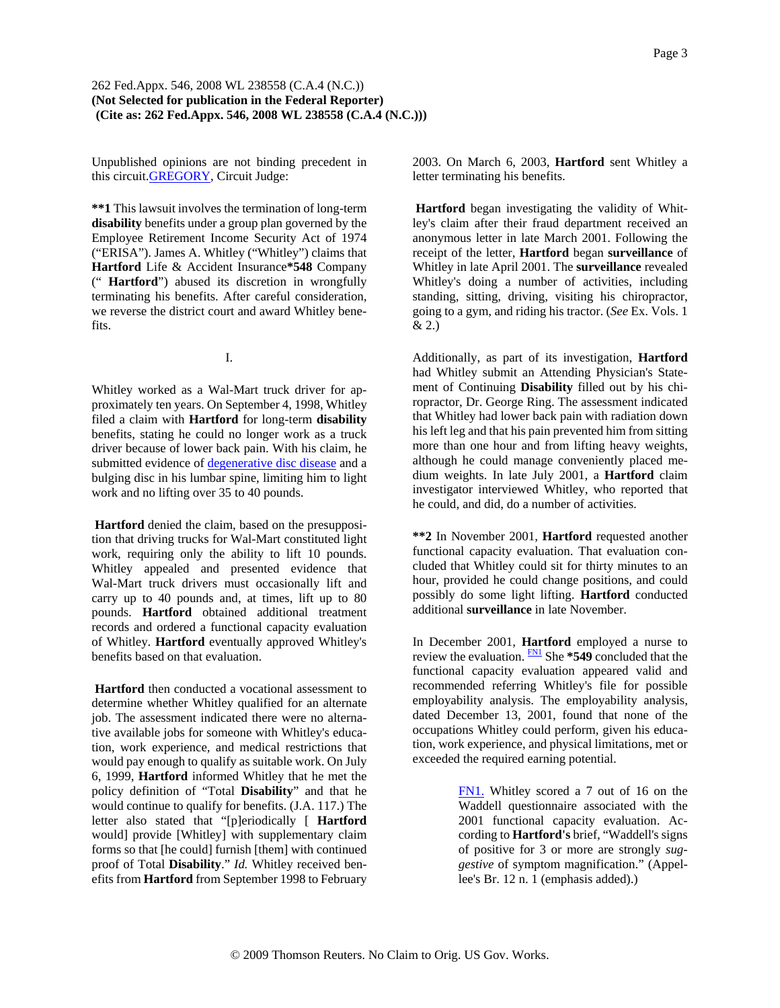Unpublished opinions are not binding precedent in this circuit.GREGORY, Circuit Judge:

**\*\*1** This lawsuit involves the termination of long-term **disability** benefits under a group plan governed by the Employee Retirement Income Security Act of 1974 ("ERISA"). James A. Whitley ("Whitley") claims that **Hartford** Life & Accident Insurance**\*548** Company (" **Hartford**") abused its discretion in wrongfully terminating his benefits. After careful consideration, we reverse the district court and award Whitley benefits.

I.

Whitley worked as a Wal-Mart truck driver for approximately ten years. On September 4, 1998, Whitley filed a claim with **Hartford** for long-term **disability** benefits, stating he could no longer work as a truck driver because of lower back pain. With his claim, he submitted evidence of degenerative disc disease and a bulging disc in his lumbar spine, limiting him to light work and no lifting over 35 to 40 pounds.

**Hartford** denied the claim, based on the presupposition that driving trucks for Wal-Mart constituted light work, requiring only the ability to lift 10 pounds. Whitley appealed and presented evidence that Wal-Mart truck drivers must occasionally lift and carry up to 40 pounds and, at times, lift up to 80 pounds. **Hartford** obtained additional treatment records and ordered a functional capacity evaluation of Whitley. **Hartford** eventually approved Whitley's benefits based on that evaluation.

**Hartford** then conducted a vocational assessment to determine whether Whitley qualified for an alternate job. The assessment indicated there were no alternative available jobs for someone with Whitley's education, work experience, and medical restrictions that would pay enough to qualify as suitable work. On July 6, 1999, **Hartford** informed Whitley that he met the policy definition of "Total **Disability**" and that he would continue to qualify for benefits. (J.A. 117.) The letter also stated that "[p]eriodically [ **Hartford** would] provide [Whitley] with supplementary claim forms so that [he could] furnish [them] with continued proof of Total **Disability**." *Id.* Whitley received benefits from **Hartford** from September 1998 to February

2003. On March 6, 2003, **Hartford** sent Whitley a letter terminating his benefits.

**Hartford** began investigating the validity of Whitley's claim after their fraud department received an anonymous letter in late March 2001. Following the receipt of the letter, **Hartford** began **surveillance** of Whitley in late April 2001. The **surveillance** revealed Whitley's doing a number of activities, including standing, sitting, driving, visiting his chiropractor, going to a gym, and riding his tractor. (*See* Ex. Vols. 1 & 2.)

Additionally, as part of its investigation, **Hartford** had Whitley submit an Attending Physician's Statement of Continuing **Disability** filled out by his chiropractor, Dr. George Ring. The assessment indicated that Whitley had lower back pain with radiation down his left leg and that his pain prevented him from sitting more than one hour and from lifting heavy weights, although he could manage conveniently placed medium weights. In late July 2001, a **Hartford** claim investigator interviewed Whitley, who reported that he could, and did, do a number of activities.

**\*\*2** In November 2001, **Hartford** requested another functional capacity evaluation. That evaluation concluded that Whitley could sit for thirty minutes to an hour, provided he could change positions, and could possibly do some light lifting. **Hartford** conducted additional **surveillance** in late November.

In December 2001, **Hartford** employed a nurse to review the evaluation. **FN1** She \*549 concluded that the functional capacity evaluation appeared valid and recommended referring Whitley's file for possible employability analysis. The employability analysis, dated December 13, 2001, found that none of the occupations Whitley could perform, given his education, work experience, and physical limitations, met or exceeded the required earning potential.

> FN1. Whitley scored a 7 out of 16 on the Waddell questionnaire associated with the 2001 functional capacity evaluation. According to **Hartford's** brief, "Waddell's signs of positive for 3 or more are strongly *suggestive* of symptom magnification." (Appellee's Br. 12 n. 1 (emphasis added).)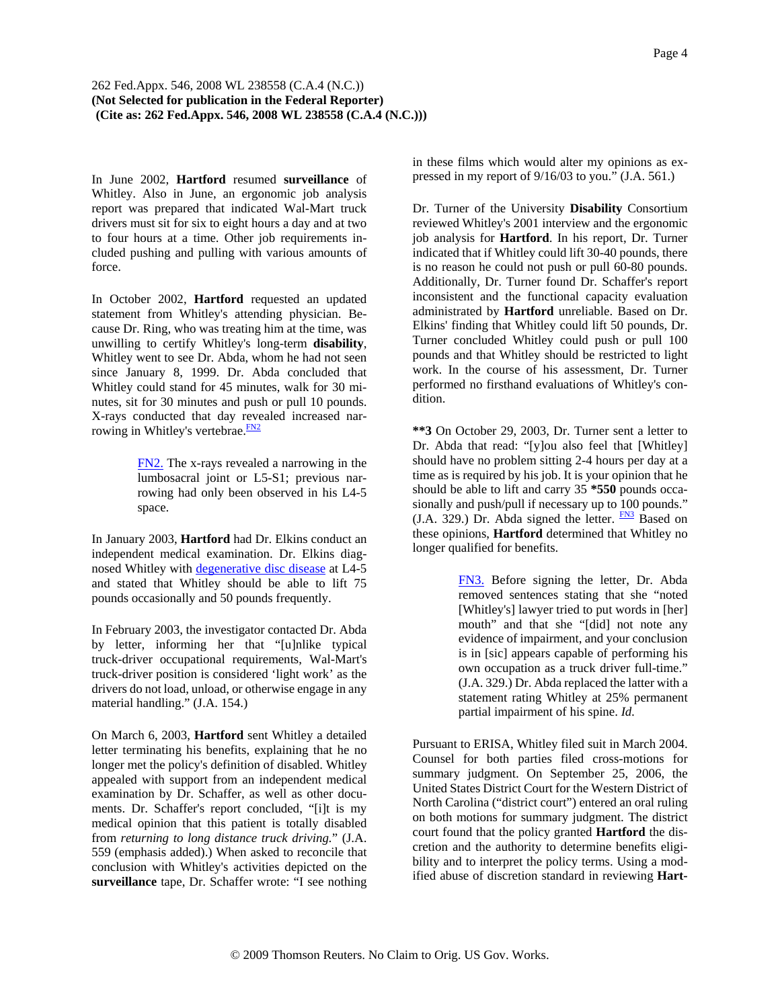In June 2002, **Hartford** resumed **surveillance** of Whitley. Also in June, an ergonomic job analysis report was prepared that indicated Wal-Mart truck drivers must sit for six to eight hours a day and at two to four hours at a time. Other job requirements included pushing and pulling with various amounts of force.

In October 2002, **Hartford** requested an updated statement from Whitley's attending physician. Because Dr. Ring, who was treating him at the time, was unwilling to certify Whitley's long-term **disability**, Whitley went to see Dr. Abda, whom he had not seen since January 8, 1999. Dr. Abda concluded that Whitley could stand for 45 minutes, walk for 30 minutes, sit for 30 minutes and push or pull 10 pounds. X-rays conducted that day revealed increased narrowing in Whitley's vertebrae. $\frac{FN2}{FN}$ 

> FN2. The x-rays revealed a narrowing in the lumbosacral joint or L5-S1; previous narrowing had only been observed in his L4-5 space.

In January 2003, **Hartford** had Dr. Elkins conduct an independent medical examination. Dr. Elkins diagnosed Whitley with degenerative disc disease at L4-5 and stated that Whitley should be able to lift 75 pounds occasionally and 50 pounds frequently.

In February 2003, the investigator contacted Dr. Abda by letter, informing her that "[u]nlike typical truck-driver occupational requirements, Wal-Mart's truck-driver position is considered 'light work' as the drivers do not load, unload, or otherwise engage in any material handling." (J.A. 154.)

On March 6, 2003, **Hartford** sent Whitley a detailed letter terminating his benefits, explaining that he no longer met the policy's definition of disabled. Whitley appealed with support from an independent medical examination by Dr. Schaffer, as well as other documents. Dr. Schaffer's report concluded, "[i]t is my medical opinion that this patient is totally disabled from *returning to long distance truck driving.*" (J.A. 559 (emphasis added).) When asked to reconcile that conclusion with Whitley's activities depicted on the **surveillance** tape, Dr. Schaffer wrote: "I see nothing

in these films which would alter my opinions as expressed in my report of 9/16/03 to you." (J.A. 561.)

Dr. Turner of the University **Disability** Consortium reviewed Whitley's 2001 interview and the ergonomic job analysis for **Hartford**. In his report, Dr. Turner indicated that if Whitley could lift 30-40 pounds, there is no reason he could not push or pull 60-80 pounds. Additionally, Dr. Turner found Dr. Schaffer's report inconsistent and the functional capacity evaluation administrated by **Hartford** unreliable. Based on Dr. Elkins' finding that Whitley could lift 50 pounds, Dr. Turner concluded Whitley could push or pull 100 pounds and that Whitley should be restricted to light work. In the course of his assessment, Dr. Turner performed no firsthand evaluations of Whitley's condition.

**\*\*3** On October 29, 2003, Dr. Turner sent a letter to Dr. Abda that read: "[y]ou also feel that [Whitley] should have no problem sitting 2-4 hours per day at a time as is required by his job. It is your opinion that he should be able to lift and carry 35 **\*550** pounds occasionally and push/pull if necessary up to 100 pounds." (J.A. 329.) Dr. Abda signed the letter.  $\frac{FN3}{FN3}$  Based on these opinions, **Hartford** determined that Whitley no longer qualified for benefits.

> FN3. Before signing the letter, Dr. Abda removed sentences stating that she "noted [Whitley's] lawyer tried to put words in [her] mouth" and that she "[did] not note any evidence of impairment, and your conclusion is in [sic] appears capable of performing his own occupation as a truck driver full-time." (J.A. 329.) Dr. Abda replaced the latter with a statement rating Whitley at 25% permanent partial impairment of his spine. *Id.*

Pursuant to ERISA, Whitley filed suit in March 2004. Counsel for both parties filed cross-motions for summary judgment. On September 25, 2006, the United States District Court for the Western District of North Carolina ("district court") entered an oral ruling on both motions for summary judgment. The district court found that the policy granted **Hartford** the discretion and the authority to determine benefits eligibility and to interpret the policy terms. Using a modified abuse of discretion standard in reviewing **Hart-**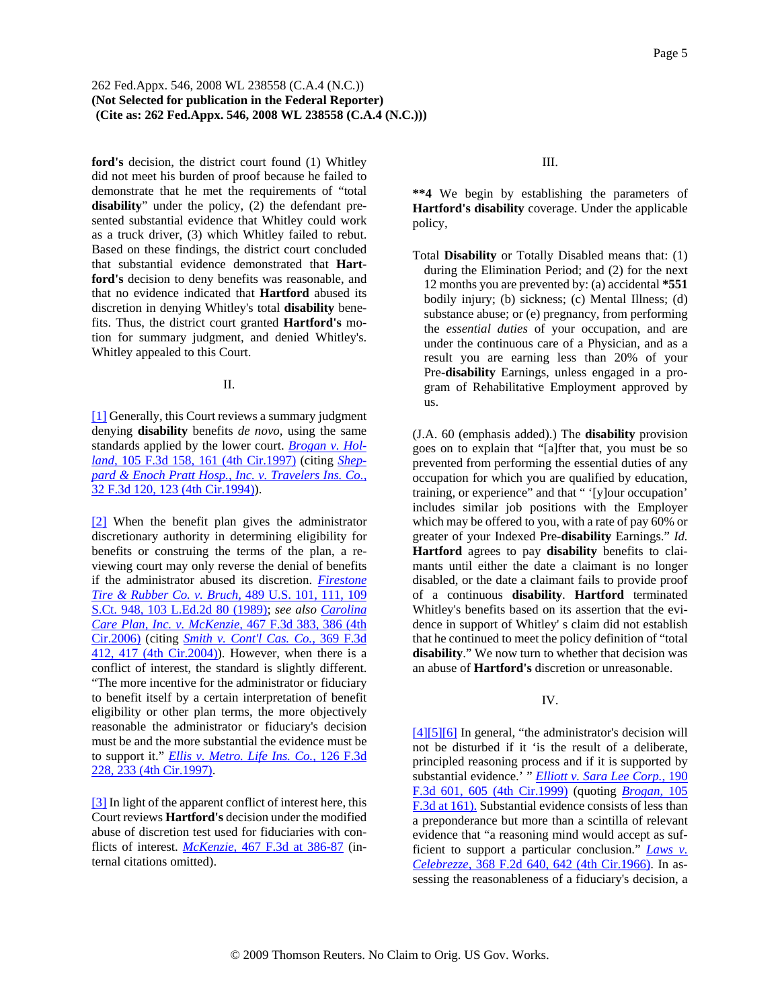**ford's** decision, the district court found (1) Whitley did not meet his burden of proof because he failed to demonstrate that he met the requirements of "total **disability**" under the policy, (2) the defendant presented substantial evidence that Whitley could work as a truck driver, (3) which Whitley failed to rebut. Based on these findings, the district court concluded that substantial evidence demonstrated that **Hartford's** decision to deny benefits was reasonable, and that no evidence indicated that **Hartford** abused its discretion in denying Whitley's total **disability** benefits. Thus, the district court granted **Hartford's** motion for summary judgment, and denied Whitley's. Whitley appealed to this Court.

II.

[1] Generally, this Court reviews a summary judgment denying **disability** benefits *de novo,* using the same standards applied by the lower court. *Brogan v. Holland,* 105 F.3d 158, 161 (4th Cir.1997) (citing *Sheppard & Enoch Pratt Hosp., Inc. v. Travelers Ins. Co.,* 32 F.3d 120, 123 (4th Cir.1994)).

[2] When the benefit plan gives the administrator discretionary authority in determining eligibility for benefits or construing the terms of the plan, a reviewing court may only reverse the denial of benefits if the administrator abused its discretion. *Firestone Tire & Rubber Co. v. Bruch,* 489 U.S. 101, 111, 109 S.Ct. 948, 103 L.Ed.2d 80 (1989); *see also Carolina Care Plan, Inc. v. McKenzie,* 467 F.3d 383, 386 (4th Cir.2006) (citing *Smith v. Cont'l Cas. Co.,* 369 F.3d 412, 417 (4th Cir.2004)). However, when there is a conflict of interest, the standard is slightly different. "The more incentive for the administrator or fiduciary to benefit itself by a certain interpretation of benefit eligibility or other plan terms, the more objectively reasonable the administrator or fiduciary's decision must be and the more substantial the evidence must be to support it." *Ellis v. Metro. Life Ins. Co.,* 126 F.3d 228, 233 (4th Cir.1997).

[3] In light of the apparent conflict of interest here, this Court reviews **Hartford's** decision under the modified abuse of discretion test used for fiduciaries with conflicts of interest. *McKenzie,* 467 F.3d at 386-87 (internal citations omitted).

III.

**\*\*4** We begin by establishing the parameters of **Hartford's disability** coverage. Under the applicable policy,

Total **Disability** or Totally Disabled means that: (1) during the Elimination Period; and (2) for the next 12 months you are prevented by: (a) accidental **\*551** bodily injury; (b) sickness; (c) Mental Illness; (d) substance abuse; or (e) pregnancy, from performing the *essential duties* of your occupation, and are under the continuous care of a Physician, and as a result you are earning less than 20% of your Pre-**disability** Earnings, unless engaged in a program of Rehabilitative Employment approved by us.

(J.A. 60 (emphasis added).) The **disability** provision goes on to explain that "[a]fter that, you must be so prevented from performing the essential duties of any occupation for which you are qualified by education, training, or experience" and that " '[y]our occupation' includes similar job positions with the Employer which may be offered to you, with a rate of pay 60% or greater of your Indexed Pre-**disability** Earnings." *Id.* **Hartford** agrees to pay **disability** benefits to claimants until either the date a claimant is no longer disabled, or the date a claimant fails to provide proof of a continuous **disability**. **Hartford** terminated Whitley's benefits based on its assertion that the evidence in support of Whitley' s claim did not establish that he continued to meet the policy definition of "total **disability**." We now turn to whether that decision was an abuse of **Hartford's** discretion or unreasonable.

# IV.

[4][5][6] In general, "the administrator's decision will not be disturbed if it 'is the result of a deliberate, principled reasoning process and if it is supported by substantial evidence.' " *Elliott v. Sara Lee Corp.,* 190 F.3d 601, 605 (4th Cir.1999) (quoting *Brogan,* 105 F.3d at 161). Substantial evidence consists of less than a preponderance but more than a scintilla of relevant evidence that "a reasoning mind would accept as sufficient to support a particular conclusion." *Laws v. Celebrezze,* 368 F.2d 640, 642 (4th Cir.1966). In assessing the reasonableness of a fiduciary's decision, a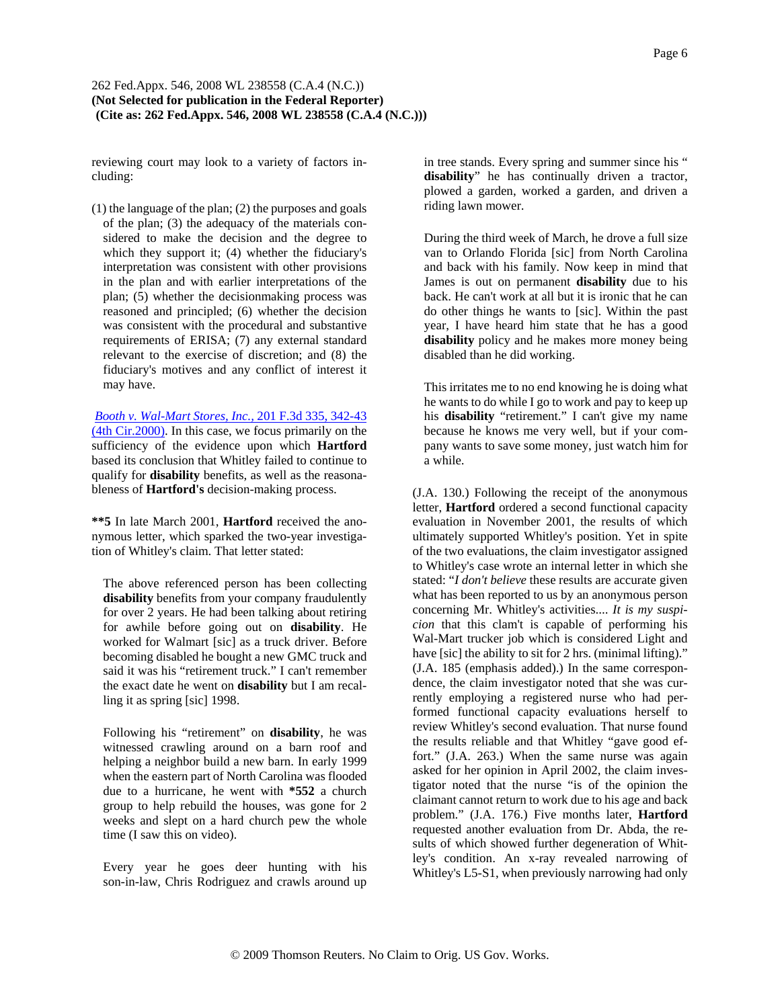reviewing court may look to a variety of factors including:

(1) the language of the plan; (2) the purposes and goals of the plan; (3) the adequacy of the materials considered to make the decision and the degree to which they support it; (4) whether the fiduciary's interpretation was consistent with other provisions in the plan and with earlier interpretations of the plan; (5) whether the decisionmaking process was reasoned and principled; (6) whether the decision was consistent with the procedural and substantive requirements of ERISA; (7) any external standard relevant to the exercise of discretion; and (8) the fiduciary's motives and any conflict of interest it may have.

*Booth v. Wal-Mart Stores, Inc.,* 201 F.3d 335, 342-43 (4th Cir.2000). In this case, we focus primarily on the sufficiency of the evidence upon which **Hartford** based its conclusion that Whitley failed to continue to qualify for **disability** benefits, as well as the reasonableness of **Hartford's** decision-making process.

**\*\*5** In late March 2001, **Hartford** received the anonymous letter, which sparked the two-year investigation of Whitley's claim. That letter stated:

The above referenced person has been collecting **disability** benefits from your company fraudulently for over 2 years. He had been talking about retiring for awhile before going out on **disability**. He worked for Walmart [sic] as a truck driver. Before becoming disabled he bought a new GMC truck and said it was his "retirement truck." I can't remember the exact date he went on **disability** but I am recalling it as spring [sic] 1998.

Following his "retirement" on **disability**, he was witnessed crawling around on a barn roof and helping a neighbor build a new barn. In early 1999 when the eastern part of North Carolina was flooded due to a hurricane, he went with **\*552** a church group to help rebuild the houses, was gone for 2 weeks and slept on a hard church pew the whole time (I saw this on video).

Every year he goes deer hunting with his son-in-law, Chris Rodriguez and crawls around up in tree stands. Every spring and summer since his " **disability**" he has continually driven a tractor, plowed a garden, worked a garden, and driven a riding lawn mower.

During the third week of March, he drove a full size van to Orlando Florida [sic] from North Carolina and back with his family. Now keep in mind that James is out on permanent **disability** due to his back. He can't work at all but it is ironic that he can do other things he wants to [sic]. Within the past year, I have heard him state that he has a good **disability** policy and he makes more money being disabled than he did working.

This irritates me to no end knowing he is doing what he wants to do while I go to work and pay to keep up his **disability** "retirement." I can't give my name because he knows me very well, but if your company wants to save some money, just watch him for a while.

(J.A. 130.) Following the receipt of the anonymous letter, **Hartford** ordered a second functional capacity evaluation in November 2001, the results of which ultimately supported Whitley's position. Yet in spite of the two evaluations, the claim investigator assigned to Whitley's case wrote an internal letter in which she stated: "*I don't believe* these results are accurate given what has been reported to us by an anonymous person concerning Mr. Whitley's activities.... *It is my suspicion* that this clam't is capable of performing his Wal-Mart trucker job which is considered Light and have [sic] the ability to sit for 2 hrs. (minimal lifting)." (J.A. 185 (emphasis added).) In the same correspondence, the claim investigator noted that she was currently employing a registered nurse who had performed functional capacity evaluations herself to review Whitley's second evaluation. That nurse found the results reliable and that Whitley "gave good effort." (J.A. 263.) When the same nurse was again asked for her opinion in April 2002, the claim investigator noted that the nurse "is of the opinion the claimant cannot return to work due to his age and back problem." (J.A. 176.) Five months later, **Hartford** requested another evaluation from Dr. Abda, the results of which showed further degeneration of Whitley's condition. An x-ray revealed narrowing of Whitley's L5-S1, when previously narrowing had only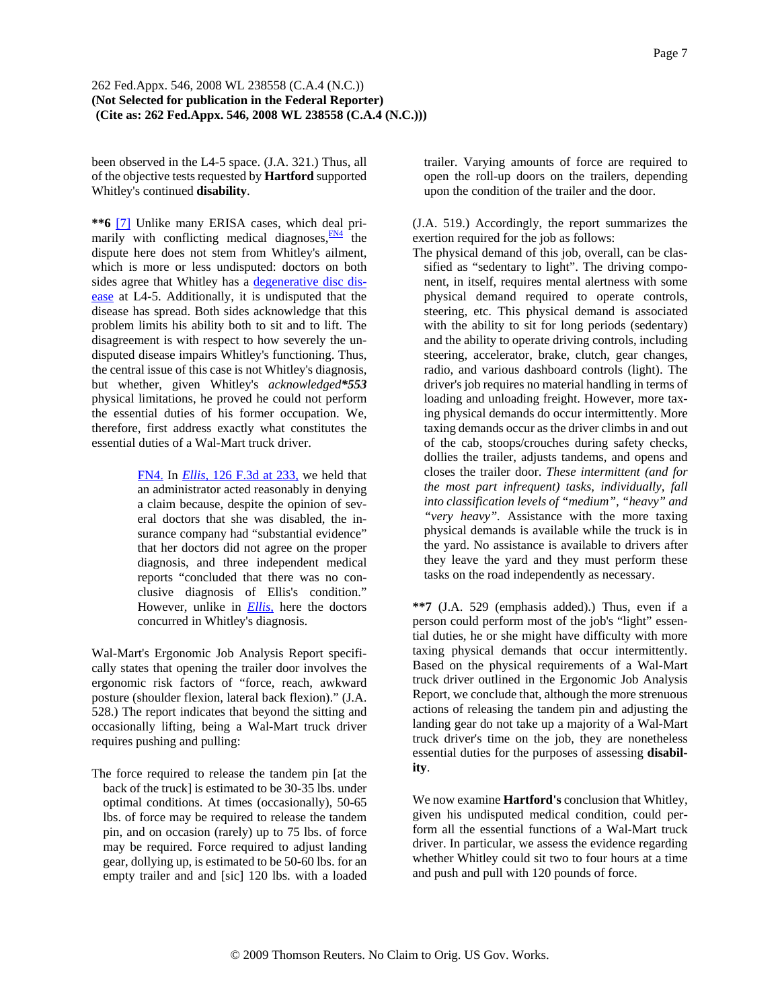been observed in the L4-5 space. (J.A. 321.) Thus, all of the objective tests requested by **Hartford** supported Whitley's continued **disability**.

**\*\*6** [7] Unlike many ERISA cases, which deal primarily with conflicting medical diagnoses, $\frac{FN4}{TN}$  the dispute here does not stem from Whitley's ailment, which is more or less undisputed: doctors on both sides agree that Whitley has a degenerative disc disease at L4-5. Additionally, it is undisputed that the disease has spread. Both sides acknowledge that this problem limits his ability both to sit and to lift. The disagreement is with respect to how severely the undisputed disease impairs Whitley's functioning. Thus, the central issue of this case is not Whitley's diagnosis, but whether, given Whitley's *acknowledged\*553* physical limitations, he proved he could not perform the essential duties of his former occupation. We, therefore, first address exactly what constitutes the essential duties of a Wal-Mart truck driver.

> FN4. In *Ellis,* 126 F.3d at 233, we held that an administrator acted reasonably in denying a claim because, despite the opinion of several doctors that she was disabled, the insurance company had "substantial evidence" that her doctors did not agree on the proper diagnosis, and three independent medical reports "concluded that there was no conclusive diagnosis of Ellis's condition." However, unlike in *Ellis,* here the doctors concurred in Whitley's diagnosis.

Wal-Mart's Ergonomic Job Analysis Report specifically states that opening the trailer door involves the ergonomic risk factors of "force, reach, awkward posture (shoulder flexion, lateral back flexion)." (J.A. 528.) The report indicates that beyond the sitting and occasionally lifting, being a Wal-Mart truck driver requires pushing and pulling:

The force required to release the tandem pin [at the back of the truck] is estimated to be 30-35 lbs. under optimal conditions. At times (occasionally), 50-65 lbs. of force may be required to release the tandem pin, and on occasion (rarely) up to 75 lbs. of force may be required. Force required to adjust landing gear, dollying up, is estimated to be 50-60 lbs. for an empty trailer and and [sic] 120 lbs. with a loaded trailer. Varying amounts of force are required to open the roll-up doors on the trailers, depending upon the condition of the trailer and the door.

(J.A. 519.) Accordingly, the report summarizes the exertion required for the job as follows:

The physical demand of this job, overall, can be classified as "sedentary to light". The driving component, in itself, requires mental alertness with some physical demand required to operate controls, steering, etc. This physical demand is associated with the ability to sit for long periods (sedentary) and the ability to operate driving controls, including steering, accelerator, brake, clutch, gear changes, radio, and various dashboard controls (light). The driver's job requires no material handling in terms of loading and unloading freight. However, more taxing physical demands do occur intermittently. More taxing demands occur as the driver climbs in and out of the cab, stoops/crouches during safety checks, dollies the trailer, adjusts tandems, and opens and closes the trailer door. *These intermittent (and for the most part infrequent) tasks, individually, fall into classification levels of "medium", "heavy" and "very heavy".* Assistance with the more taxing physical demands is available while the truck is in the yard. No assistance is available to drivers after they leave the yard and they must perform these tasks on the road independently as necessary.

**\*\*7** (J.A. 529 (emphasis added).) Thus, even if a person could perform most of the job's "light" essential duties, he or she might have difficulty with more taxing physical demands that occur intermittently. Based on the physical requirements of a Wal-Mart truck driver outlined in the Ergonomic Job Analysis Report, we conclude that, although the more strenuous actions of releasing the tandem pin and adjusting the landing gear do not take up a majority of a Wal-Mart truck driver's time on the job, they are nonetheless essential duties for the purposes of assessing **disability**.

We now examine **Hartford's** conclusion that Whitley, given his undisputed medical condition, could perform all the essential functions of a Wal-Mart truck driver. In particular, we assess the evidence regarding whether Whitley could sit two to four hours at a time and push and pull with 120 pounds of force.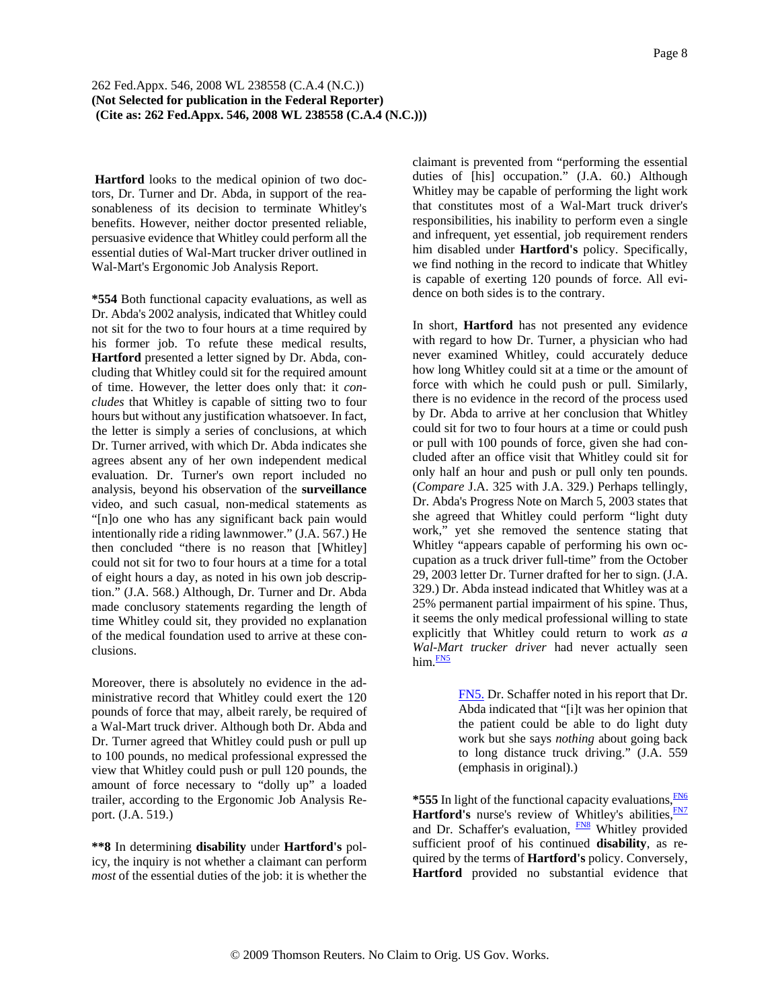**Hartford** looks to the medical opinion of two doctors, Dr. Turner and Dr. Abda, in support of the reasonableness of its decision to terminate Whitley's benefits. However, neither doctor presented reliable, persuasive evidence that Whitley could perform all the essential duties of Wal-Mart trucker driver outlined in Wal-Mart's Ergonomic Job Analysis Report.

**\*554** Both functional capacity evaluations, as well as Dr. Abda's 2002 analysis, indicated that Whitley could not sit for the two to four hours at a time required by his former job. To refute these medical results, **Hartford** presented a letter signed by Dr. Abda, concluding that Whitley could sit for the required amount of time. However, the letter does only that: it *concludes* that Whitley is capable of sitting two to four hours but without any justification whatsoever. In fact, the letter is simply a series of conclusions, at which Dr. Turner arrived, with which Dr. Abda indicates she agrees absent any of her own independent medical evaluation. Dr. Turner's own report included no analysis, beyond his observation of the **surveillance** video, and such casual, non-medical statements as "[n]o one who has any significant back pain would intentionally ride a riding lawnmower." (J.A. 567.) He then concluded "there is no reason that [Whitley] could not sit for two to four hours at a time for a total of eight hours a day, as noted in his own job description." (J.A. 568.) Although, Dr. Turner and Dr. Abda made conclusory statements regarding the length of time Whitley could sit, they provided no explanation of the medical foundation used to arrive at these conclusions.

Moreover, there is absolutely no evidence in the administrative record that Whitley could exert the 120 pounds of force that may, albeit rarely, be required of a Wal-Mart truck driver. Although both Dr. Abda and Dr. Turner agreed that Whitley could push or pull up to 100 pounds, no medical professional expressed the view that Whitley could push or pull 120 pounds, the amount of force necessary to "dolly up" a loaded trailer, according to the Ergonomic Job Analysis Report. (J.A. 519.)

**\*\*8** In determining **disability** under **Hartford's** policy, the inquiry is not whether a claimant can perform *most* of the essential duties of the job: it is whether the claimant is prevented from "performing the essential duties of [his] occupation." (J.A. 60.) Although Whitley may be capable of performing the light work that constitutes most of a Wal-Mart truck driver's responsibilities, his inability to perform even a single and infrequent, yet essential, job requirement renders him disabled under **Hartford's** policy. Specifically, we find nothing in the record to indicate that Whitley is capable of exerting 120 pounds of force. All evidence on both sides is to the contrary.

In short, **Hartford** has not presented any evidence with regard to how Dr. Turner, a physician who had never examined Whitley, could accurately deduce how long Whitley could sit at a time or the amount of force with which he could push or pull. Similarly, there is no evidence in the record of the process used by Dr. Abda to arrive at her conclusion that Whitley could sit for two to four hours at a time or could push or pull with 100 pounds of force, given she had concluded after an office visit that Whitley could sit for only half an hour and push or pull only ten pounds. (*Compare* J.A. 325 with J.A. 329.) Perhaps tellingly, Dr. Abda's Progress Note on March 5, 2003 states that she agreed that Whitley could perform "light duty work," yet she removed the sentence stating that Whitley "appears capable of performing his own occupation as a truck driver full-time" from the October 29, 2003 letter Dr. Turner drafted for her to sign. (J.A. 329.) Dr. Abda instead indicated that Whitley was at a 25% permanent partial impairment of his spine. Thus, it seems the only medical professional willing to state explicitly that Whitley could return to work *as a Wal-Mart trucker driver* had never actually seen  $him.$  $<sup>FN5</sup>$ </sup>

> FN5. Dr. Schaffer noted in his report that Dr. Abda indicated that "[i]t was her opinion that the patient could be able to do light duty work but she says *nothing* about going back to long distance truck driving." (J.A. 559 (emphasis in original).)

\*555 In light of the functional capacity evaluations, FN6 Hartford's nurse's review of Whitley's abilities, FN7 and Dr. Schaffer's evaluation, **FN8** Whitley provided sufficient proof of his continued **disability**, as required by the terms of **Hartford's** policy. Conversely, **Hartford** provided no substantial evidence that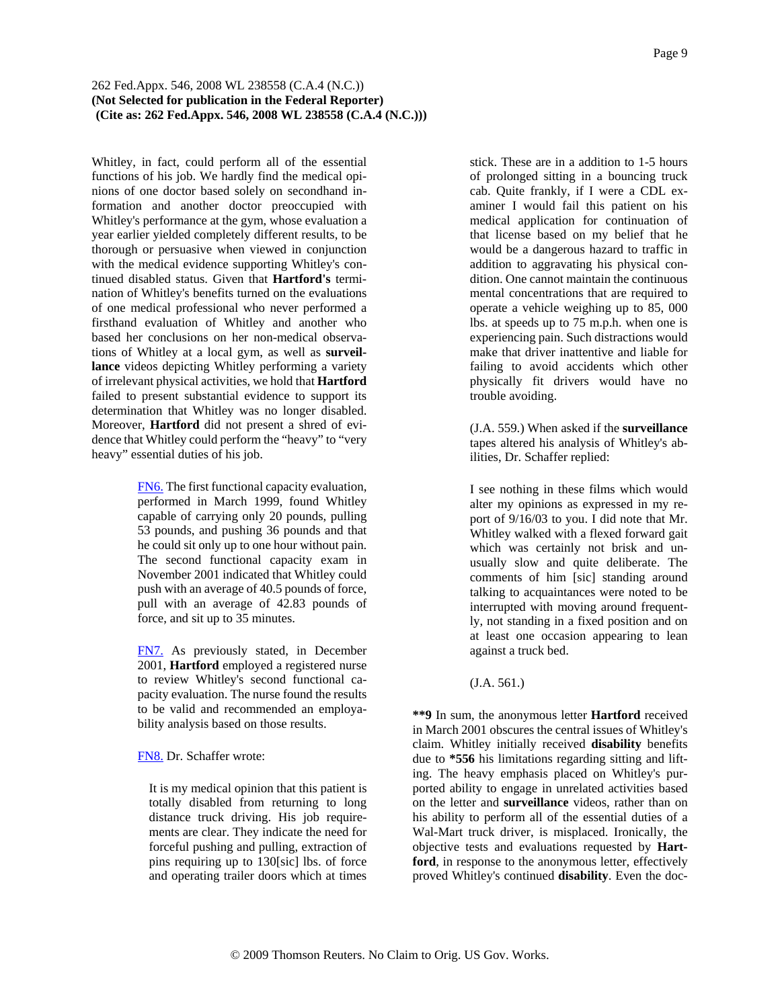Whitley, in fact, could perform all of the essential functions of his job. We hardly find the medical opinions of one doctor based solely on secondhand information and another doctor preoccupied with Whitley's performance at the gym, whose evaluation a year earlier yielded completely different results, to be thorough or persuasive when viewed in conjunction with the medical evidence supporting Whitley's continued disabled status. Given that **Hartford's** termination of Whitley's benefits turned on the evaluations of one medical professional who never performed a firsthand evaluation of Whitley and another who based her conclusions on her non-medical observations of Whitley at a local gym, as well as **surveillance** videos depicting Whitley performing a variety of irrelevant physical activities, we hold that **Hartford** failed to present substantial evidence to support its determination that Whitley was no longer disabled. Moreover, **Hartford** did not present a shred of evidence that Whitley could perform the "heavy" to "very heavy" essential duties of his job.

> FN6. The first functional capacity evaluation, performed in March 1999, found Whitley capable of carrying only 20 pounds, pulling 53 pounds, and pushing 36 pounds and that he could sit only up to one hour without pain. The second functional capacity exam in November 2001 indicated that Whitley could push with an average of 40.5 pounds of force, pull with an average of 42.83 pounds of force, and sit up to 35 minutes.

> FN7. As previously stated, in December 2001, **Hartford** employed a registered nurse to review Whitley's second functional capacity evaluation. The nurse found the results to be valid and recommended an employability analysis based on those results.

FN8. Dr. Schaffer wrote:

It is my medical opinion that this patient is totally disabled from returning to long distance truck driving. His job requirements are clear. They indicate the need for forceful pushing and pulling, extraction of pins requiring up to 130[sic] lbs. of force and operating trailer doors which at times stick. These are in a addition to 1-5 hours of prolonged sitting in a bouncing truck cab. Quite frankly, if I were a CDL examiner I would fail this patient on his medical application for continuation of that license based on my belief that he would be a dangerous hazard to traffic in addition to aggravating his physical condition. One cannot maintain the continuous mental concentrations that are required to operate a vehicle weighing up to 85, 000 lbs. at speeds up to 75 m.p.h. when one is experiencing pain. Such distractions would make that driver inattentive and liable for failing to avoid accidents which other physically fit drivers would have no trouble avoiding.

(J.A. 559.) When asked if the **surveillance** tapes altered his analysis of Whitley's abilities, Dr. Schaffer replied:

I see nothing in these films which would alter my opinions as expressed in my report of 9/16/03 to you. I did note that Mr. Whitley walked with a flexed forward gait which was certainly not brisk and unusually slow and quite deliberate. The comments of him [sic] standing around talking to acquaintances were noted to be interrupted with moving around frequently, not standing in a fixed position and on at least one occasion appearing to lean against a truck bed.

(J.A. 561.)

**\*\*9** In sum, the anonymous letter **Hartford** received in March 2001 obscures the central issues of Whitley's claim. Whitley initially received **disability** benefits due to **\*556** his limitations regarding sitting and lifting. The heavy emphasis placed on Whitley's purported ability to engage in unrelated activities based on the letter and **surveillance** videos, rather than on his ability to perform all of the essential duties of a Wal-Mart truck driver, is misplaced. Ironically, the objective tests and evaluations requested by **Hartford**, in response to the anonymous letter, effectively proved Whitley's continued **disability**. Even the doc-